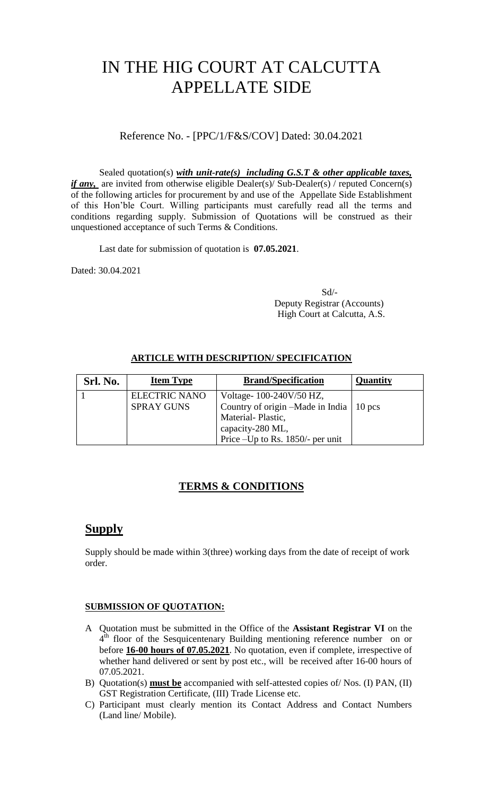# IN THE HIG COURT AT CALCUTTA APPELLATE SIDE

Reference No. - [PPC/1/F&S/COV] Dated: 30.04.2021

Sealed quotation(s) *with unit-rate(s) including G.S.T & other applicable taxes, if any*, are invited from otherwise eligible Dealer(s)/ Sub-Dealer(s) / reputed Concern(s) of the following articles for procurement by and use of the Appellate Side Establishment of this Hon'ble Court. Willing participants must carefully read all the terms and conditions regarding supply. Submission of Quotations will be construed as their unquestioned acceptance of such Terms & Conditions.

Last date for submission of quotation is **07.05.2021**.

Dated: 30.04.2021

 Sd/- Deputy Registrar (Accounts) High Court at Calcutta, A.S.

| Srl. No. | <b>Item Type</b>     | <b>Brand/Specification</b>                  | Quantity |
|----------|----------------------|---------------------------------------------|----------|
|          | <b>ELECTRIC NANO</b> | Voltage-100-240V/50 HZ,                     |          |
|          | <b>SPRAY GUNS</b>    | Country of origin $-Made$ in India   10 pcs |          |
|          |                      | Material-Plastic,                           |          |
|          |                      | capacity-280 ML,                            |          |
|          |                      | Price –Up to Rs. 1850/- per unit            |          |

### **ARTICLE WITH DESCRIPTION/ SPECIFICATION**

## **TERMS & CONDITIONS**

# **Supply**

Supply should be made within 3(three) working days from the date of receipt of work order.

#### **SUBMISSION OF QUOTATION:**

- A Quotation must be submitted in the Office of the **Assistant Registrar VI** on the  $4<sup>th</sup>$  floor of the Sesquicentenary Building mentioning reference number on or before **16-00 hours of 07.05.2021**. No quotation, even if complete, irrespective of whether hand delivered or sent by post etc., will be received after 16-00 hours of 07.05.2021.
- B) Quotation(s) **must be** accompanied with self-attested copies of/ Nos. (I) PAN, (II) GST Registration Certificate, (III) Trade License etc.
- C) Participant must clearly mention its Contact Address and Contact Numbers (Land line/ Mobile).